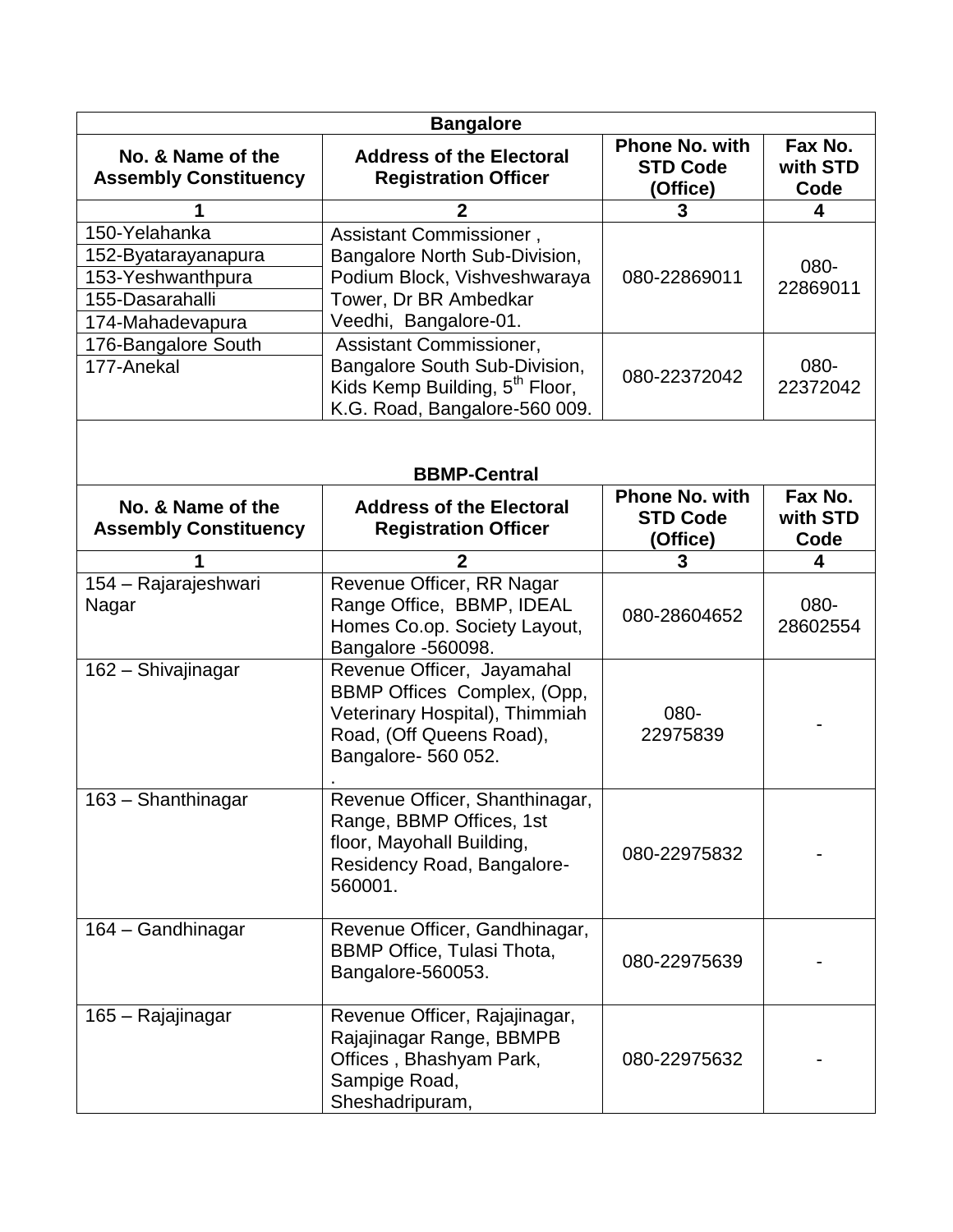| <b>Bangalore</b>                                                                                 |                                                                                                                                                |                                                      |                             |  |  |
|--------------------------------------------------------------------------------------------------|------------------------------------------------------------------------------------------------------------------------------------------------|------------------------------------------------------|-----------------------------|--|--|
| No. & Name of the<br><b>Assembly Constituency</b>                                                | <b>Address of the Electoral</b><br><b>Registration Officer</b>                                                                                 | <b>Phone No. with</b><br><b>STD Code</b><br>(Office) | Fax No.<br>with STD<br>Code |  |  |
|                                                                                                  | 2                                                                                                                                              | 3                                                    | 4                           |  |  |
| 150-Yelahanka<br>152-Byatarayanapura<br>153-Yeshwanthpura<br>155-Dasarahalli<br>174-Mahadevapura | Assistant Commissioner,<br>Bangalore North Sub-Division,<br>Podium Block, Vishveshwaraya<br>Tower, Dr BR Ambedkar<br>Veedhi, Bangalore-01.     | 080-22869011                                         | 080-<br>22869011            |  |  |
| 176-Bangalore South<br>177-Anekal                                                                | Assistant Commissioner,<br>Bangalore South Sub-Division,<br>Kids Kemp Building, 5 <sup>th</sup> Floor,<br>K.G. Road, Bangalore-560 009.        | 080-22372042                                         | 080-<br>22372042            |  |  |
| <b>BBMP-Central</b>                                                                              |                                                                                                                                                |                                                      |                             |  |  |
| No. & Name of the<br><b>Assembly Constituency</b>                                                | <b>Address of the Electoral</b><br><b>Registration Officer</b>                                                                                 | <b>Phone No. with</b><br><b>STD Code</b><br>(Office) | Fax No.<br>with STD<br>Code |  |  |
|                                                                                                  | $\mathbf{2}$                                                                                                                                   | 3                                                    | 4                           |  |  |
| 154 - Rajarajeshwari<br>Nagar                                                                    | Revenue Officer, RR Nagar<br>Range Office, BBMP, IDEAL<br>Homes Co.op. Society Layout,<br>Bangalore -560098.                                   | 080-28604652                                         | 080-<br>28602554            |  |  |
| 162 - Shivajinagar                                                                               | Revenue Officer, Jayamahal<br>BBMP Offices Complex, (Opp,<br>Veterinary Hospital), Thimmiah<br>Road, (Off Queens Road),<br>Bangalore- 560 052. | 080-<br>22975839                                     |                             |  |  |
| 163 - Shanthinagar                                                                               | Revenue Officer, Shanthinagar,<br>Range, BBMP Offices, 1st<br>floor, Mayohall Building,<br>Residency Road, Bangalore-<br>560001.               | 080-22975832                                         |                             |  |  |
| 164 - Gandhinagar                                                                                | Revenue Officer, Gandhinagar,<br><b>BBMP Office, Tulasi Thota,</b><br>Bangalore-560053.                                                        | 080-22975639                                         |                             |  |  |
| 165 - Rajajinagar                                                                                | Revenue Officer, Rajajinagar,<br>Rajajinagar Range, BBMPB<br>Offices, Bhashyam Park,<br>Sampige Road,<br>Sheshadripuram,                       | 080-22975632                                         |                             |  |  |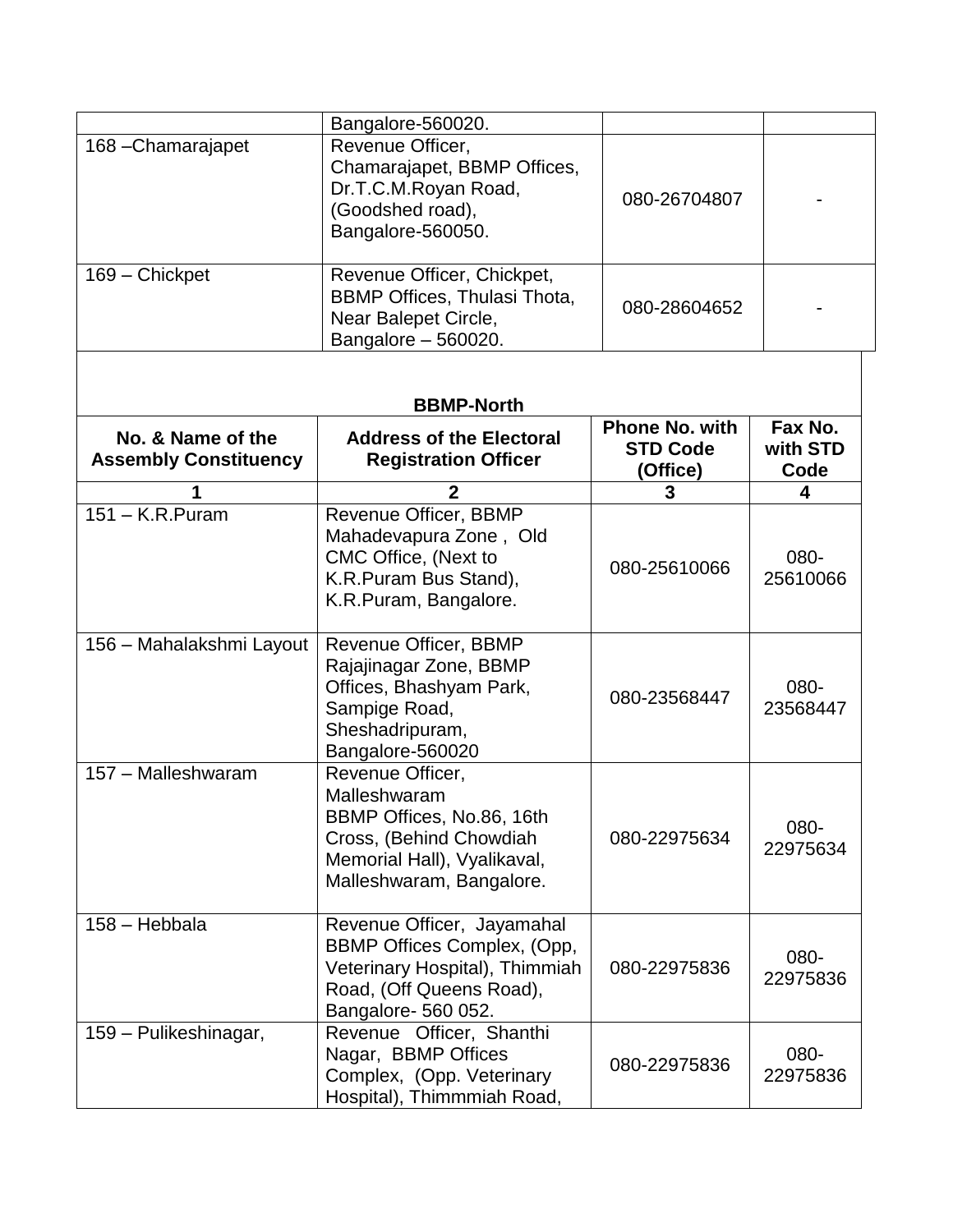|                                                   | Bangalore-560020.                                                                                                                                   |                                                      |                             |  |
|---------------------------------------------------|-----------------------------------------------------------------------------------------------------------------------------------------------------|------------------------------------------------------|-----------------------------|--|
| 168-Chamarajapet                                  | Revenue Officer,<br>Chamarajapet, BBMP Offices,<br>Dr.T.C.M.Royan Road,<br>(Goodshed road),<br>Bangalore-560050.                                    | 080-26704807                                         |                             |  |
| 169 - Chickpet                                    | Revenue Officer, Chickpet,<br><b>BBMP Offices, Thulasi Thota,</b><br>Near Balepet Circle,<br>Bangalore - 560020.                                    | 080-28604652                                         |                             |  |
| <b>BBMP-North</b>                                 |                                                                                                                                                     |                                                      |                             |  |
| No. & Name of the<br><b>Assembly Constituency</b> | <b>Address of the Electoral</b><br><b>Registration Officer</b>                                                                                      | <b>Phone No. with</b><br><b>STD Code</b><br>(Office) | Fax No.<br>with STD<br>Code |  |
|                                                   | $\mathbf{2}$                                                                                                                                        | 3                                                    | 4                           |  |
| $151 - K.R.Puram$                                 | Revenue Officer, BBMP<br>Mahadevapura Zone, Old<br>CMC Office, (Next to<br>K.R.Puram Bus Stand),<br>K.R.Puram, Bangalore.                           | 080-25610066                                         | 080-<br>25610066            |  |
| 156 - Mahalakshmi Layout                          | Revenue Officer, BBMP<br>Rajajinagar Zone, BBMP<br>Offices, Bhashyam Park,<br>Sampige Road,<br>Sheshadripuram,<br>Bangalore-560020                  | 080-23568447                                         | 080-<br>23568447            |  |
| 157 - Malleshwaram                                | Revenue Officer,<br>Malleshwaram<br>BBMP Offices, No.86, 16th<br>Cross, (Behind Chowdiah<br>Memorial Hall), Vyalikaval,<br>Malleshwaram, Bangalore. | 080-22975634                                         | 080-<br>22975634            |  |
| 158 - Hebbala                                     | Revenue Officer, Jayamahal<br>BBMP Offices Complex, (Opp,<br>Veterinary Hospital), Thimmiah<br>Road, (Off Queens Road),<br>Bangalore- 560 052.      | 080-22975836                                         | 080-<br>22975836            |  |
| 159 - Pulikeshinagar,                             | Revenue Officer, Shanthi<br>Nagar, BBMP Offices<br>Complex, (Opp. Veterinary<br>Hospital), Thimmmiah Road,                                          | 080-22975836                                         | 080-<br>22975836            |  |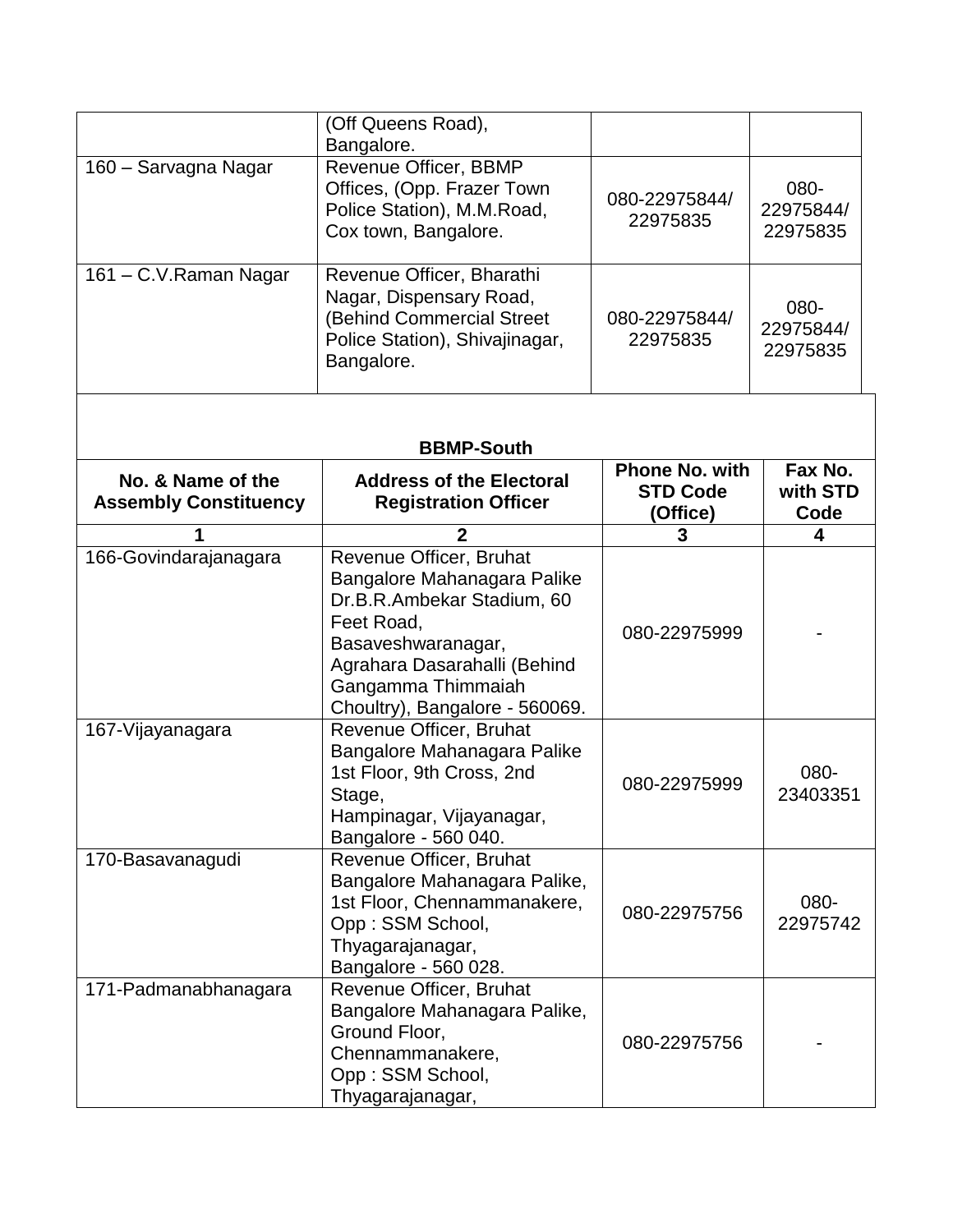|                                                   | (Off Queens Road),                                                                                                                                                                                               |                                                      |                               |
|---------------------------------------------------|------------------------------------------------------------------------------------------------------------------------------------------------------------------------------------------------------------------|------------------------------------------------------|-------------------------------|
| 160 - Sarvagna Nagar                              | Bangalore.<br>Revenue Officer, BBMP<br>Offices, (Opp. Frazer Town<br>Police Station), M.M.Road,<br>Cox town, Bangalore.                                                                                          | 080-22975844/<br>22975835                            | 080-<br>22975844/<br>22975835 |
| 161 - C.V. Raman Nagar                            | Revenue Officer, Bharathi<br>Nagar, Dispensary Road,<br>(Behind Commercial Street<br>Police Station), Shivajinagar,<br>Bangalore.                                                                                | 080-22975844/<br>22975835                            | 080-<br>22975844/<br>22975835 |
|                                                   | <b>BBMP-South</b>                                                                                                                                                                                                |                                                      |                               |
| No. & Name of the<br><b>Assembly Constituency</b> | <b>Address of the Electoral</b><br><b>Registration Officer</b>                                                                                                                                                   | <b>Phone No. with</b><br><b>STD Code</b><br>(Office) | Fax No.<br>with STD<br>Code   |
|                                                   | $\mathbf 2$                                                                                                                                                                                                      | 3                                                    | 4                             |
| 166-Govindarajanagara                             | Revenue Officer, Bruhat<br>Bangalore Mahanagara Palike<br>Dr.B.R.Ambekar Stadium, 60<br>Feet Road,<br>Basaveshwaranagar,<br>Agrahara Dasarahalli (Behind<br>Gangamma Thimmaiah<br>Choultry), Bangalore - 560069. | 080-22975999                                         |                               |
| 167-Vijayanagara                                  | Revenue Officer, Bruhat<br>Bangalore Mahanagara Palike<br>1st Floor, 9th Cross, 2nd<br>Stage,<br>Hampinagar, Vijayanagar,<br>Bangalore - 560 040.                                                                | 080-22975999                                         | 080-<br>23403351              |
| 170-Basavanagudi                                  | Revenue Officer, Bruhat<br>Bangalore Mahanagara Palike,<br>1st Floor, Chennammanakere,<br>Opp: SSM School,<br>Thyagarajanagar,<br>Bangalore - 560 028.                                                           | 080-22975756                                         | 080-<br>22975742              |
| 171-Padmanabhanagara                              | Revenue Officer, Bruhat<br>Bangalore Mahanagara Palike,<br>Ground Floor,<br>Chennammanakere,<br>Opp: SSM School,<br>Thyagarajanagar,                                                                             | 080-22975756                                         |                               |